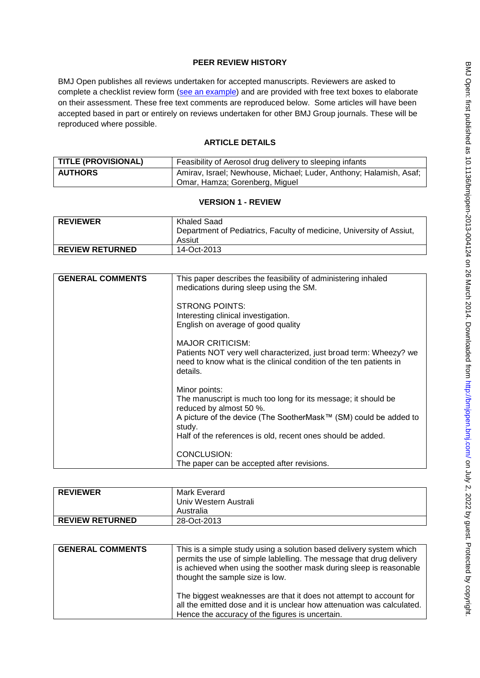## **PEER REVIEW HISTORY**

BMJ Open publishes all reviews undertaken for accepted manuscripts. Reviewers are asked to complete a checklist review form [\(see an example\)](http://bmjopen.bmj.com/site/about/resources/ScholarOne_Manuscripts.pdf) and are provided with free text boxes to elaborate on their assessment. These free text comments are reproduced below. Some articles will have been accepted based in part or entirely on reviews undertaken for other BMJ Group journals. These will be reproduced where possible.

## **ARTICLE DETAILS**

| <b>TITLE (PROVISIONAL)</b> | Feasibility of Aerosol drug delivery to sleeping infants                                               |
|----------------------------|--------------------------------------------------------------------------------------------------------|
| <b>AUTHORS</b>             | Amirav, Israel; Newhouse, Michael; Luder, Anthony; Halamish, Asaf;<br>  Omar, Hamza; Gorenberg, Miguel |

### **VERSION 1 - REVIEW**

| <b>REVIEWER</b>        | Khaled Saad<br>Department of Pediatrics, Faculty of medicine, University of Assiut,<br>Assiut |
|------------------------|-----------------------------------------------------------------------------------------------|
| <b>REVIEW RETURNED</b> | 14-Oct-2013                                                                                   |

| <b>GENERAL COMMENTS</b> | This paper describes the feasibility of administering inhaled<br>medications during sleep using the SM.                                                                                                                                                |
|-------------------------|--------------------------------------------------------------------------------------------------------------------------------------------------------------------------------------------------------------------------------------------------------|
|                         | <b>STRONG POINTS:</b><br>Interesting clinical investigation.<br>English on average of good quality                                                                                                                                                     |
|                         | <b>MAJOR CRITICISM:</b><br>Patients NOT very well characterized, just broad term: Wheezy? we<br>need to know what is the clinical condition of the ten patients in<br>details.                                                                         |
|                         | Minor points:<br>The manuscript is much too long for its message; it should be<br>reduced by almost 50 %.<br>A picture of the device (The SootherMask™ (SM) could be added to<br>study.<br>Half of the references is old, recent ones should be added. |
|                         | CONCLUSION:<br>The paper can be accepted after revisions.                                                                                                                                                                                              |

| <b>REVIEWER</b>        | Mark Everard<br>Univ Western Australi<br>Australia |
|------------------------|----------------------------------------------------|
| <b>REVIEW RETURNED</b> | 28-Oct-2013                                        |

| <b>GENERAL COMMENTS</b> | This is a simple study using a solution based delivery system which<br>permits the use of simple lablelling. The message that drug delivery<br>is achieved when using the soother mask during sleep is reasonable<br>thought the sample size is low. |
|-------------------------|------------------------------------------------------------------------------------------------------------------------------------------------------------------------------------------------------------------------------------------------------|
|                         | The biggest weaknesses are that it does not attempt to account for<br>all the emitted dose and it is unclear how attenuation was calculated.<br>Hence the accuracy of the figures is uncertain.                                                      |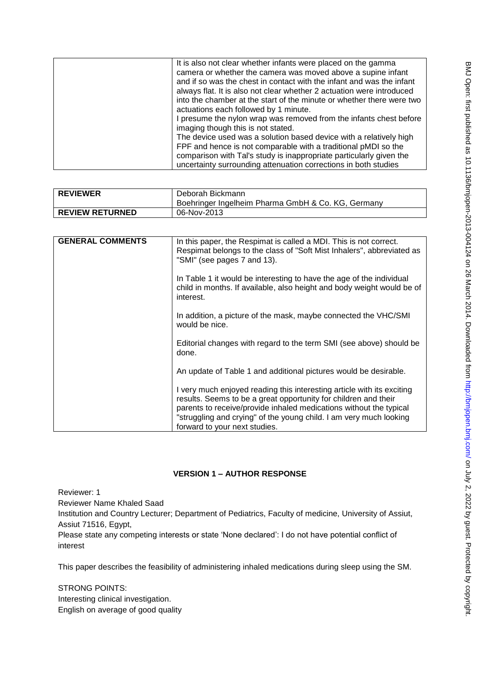| he gamma<br>a supine infant<br>d was the infant<br>were introduced<br>er there were two<br>fants chest before<br>a relatively high<br>pMDI so the<br>ularly given the<br>ooth studies | BMJ Open: first p.uplished as 10.1136/bn/jopen-2013-004124 on 26 March 2014 .Doownloaded trom http://p |
|---------------------------------------------------------------------------------------------------------------------------------------------------------------------------------------|--------------------------------------------------------------------------------------------------------|
| ermany                                                                                                                                                                                |                                                                                                        |
| not correct.<br>s", abbreviated as                                                                                                                                                    |                                                                                                        |
| f the individual<br>veight would be of                                                                                                                                                |                                                                                                        |
| d the VHC/SMI                                                                                                                                                                         |                                                                                                        |
| above) should be                                                                                                                                                                      |                                                                                                        |
| be desirable.                                                                                                                                                                         |                                                                                                        |
| with its exciting<br>n and their                                                                                                                                                      |                                                                                                        |

| It is also not clear whether infants were placed on the gamma         |
|-----------------------------------------------------------------------|
| camera or whether the camera was moved above a supine infant          |
| and if so was the chest in contact with the infant and was the infant |
| always flat. It is also not clear whether 2 actuation were introduced |
| into the chamber at the start of the minute or whether there were two |
| actuations each followed by 1 minute.                                 |
| I presume the nylon wrap was removed from the infants chest before    |
| imaging though this is not stated.                                    |
| The device used was a solution based device with a relatively high    |
| FPF and hence is not comparable with a traditional pMDI so the        |
| comparison with Tal's study is inappropriate particularly given the   |
| uncertainty surrounding attenuation corrections in both studies       |

| <b>REVIEWER</b>        | Deborah Bickmann                                   |
|------------------------|----------------------------------------------------|
|                        | Boehringer Ingelheim Pharma GmbH & Co. KG, Germany |
| <b>REVIEW RETURNED</b> | 06-Nov-2013                                        |

| <b>GENERAL COMMENTS</b> | In this paper, the Respimat is called a MDI. This is not correct.<br>Respimat belongs to the class of "Soft Mist Inhalers", abbreviated as<br>"SMI" (see pages 7 and 13).                                                                                                                                              |
|-------------------------|------------------------------------------------------------------------------------------------------------------------------------------------------------------------------------------------------------------------------------------------------------------------------------------------------------------------|
|                         | In Table 1 it would be interesting to have the age of the individual<br>child in months. If available, also height and body weight would be of<br>interest.                                                                                                                                                            |
|                         | In addition, a picture of the mask, maybe connected the VHC/SMI<br>would be nice.                                                                                                                                                                                                                                      |
|                         | Editorial changes with regard to the term SMI (see above) should be<br>done.                                                                                                                                                                                                                                           |
|                         | An update of Table 1 and additional pictures would be desirable.                                                                                                                                                                                                                                                       |
|                         | I very much enjoyed reading this interesting article with its exciting<br>results. Seems to be a great opportunity for children and their<br>parents to receive/provide inhaled medications without the typical<br>"struggling and crying" of the young child. I am very much looking<br>forward to your next studies. |

# **VERSION 1 – AUTHOR RESPONSE**

Reviewer: 1

Reviewer Name Khaled Saad

Institution and Country Lecturer; Department of Pediatrics, Faculty of medicine, University of Assiut, Assiut 71516, Egypt,

Please state any competing interests or state 'None declared': I do not have potential conflict of interest

This paper describes the feasibility of administering inhaled medications during sleep using the SM.

STRONG POINTS: Interesting clinical investigation. English on average of good quality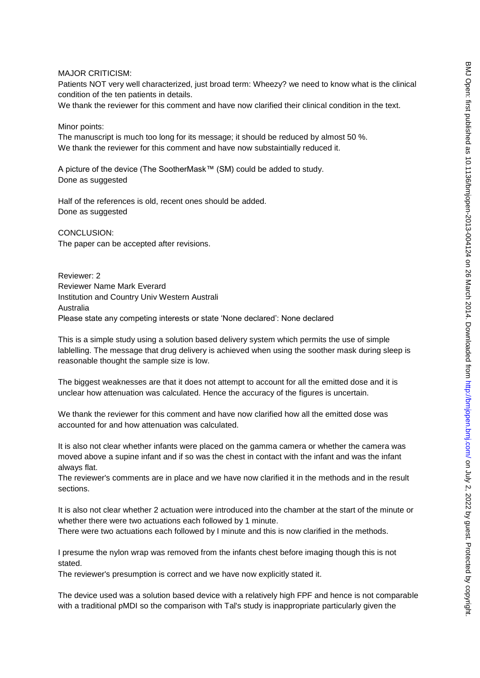#### MAJOR CRITICISM:

Patients NOT very well characterized, just broad term: Wheezy? we need to know what is the clinical condition of the ten patients in details.

We thank the reviewer for this comment and have now clarified their clinical condition in the text.

Minor points:

The manuscript is much too long for its message; it should be reduced by almost 50 %. We thank the reviewer for this comment and have now substaintially reduced it.

A picture of the device (The SootherMask™ (SM) could be added to study. Done as suggested

Half of the references is old, recent ones should be added. Done as suggested

CONCLUSION: The paper can be accepted after revisions.

Reviewer: 2 Reviewer Name Mark Everard Institution and Country Univ Western Australi Australia Please state any competing interests or state 'None declared': None declared

This is a simple study using a solution based delivery system which permits the use of simple lablelling. The message that drug delivery is achieved when using the soother mask during sleep is reasonable thought the sample size is low.

The biggest weaknesses are that it does not attempt to account for all the emitted dose and it is unclear how attenuation was calculated. Hence the accuracy of the figures is uncertain.

We thank the reviewer for this comment and have now clarified how all the emitted dose was accounted for and how attenuation was calculated.

It is also not clear whether infants were placed on the gamma camera or whether the camera was moved above a supine infant and if so was the chest in contact with the infant and was the infant always flat.

The reviewer's comments are in place and we have now clarified it in the methods and in the result sections.

It is also not clear whether 2 actuation were introduced into the chamber at the start of the minute or whether there were two actuations each followed by 1 minute.

There were two actuations each followed by I minute and this is now clarified in the methods.

I presume the nylon wrap was removed from the infants chest before imaging though this is not stated.

The reviewer's presumption is correct and we have now explicitly stated it.

The device used was a solution based device with a relatively high FPF and hence is not comparable with a traditional pMDI so the comparison with Tal's study is inappropriate particularly given the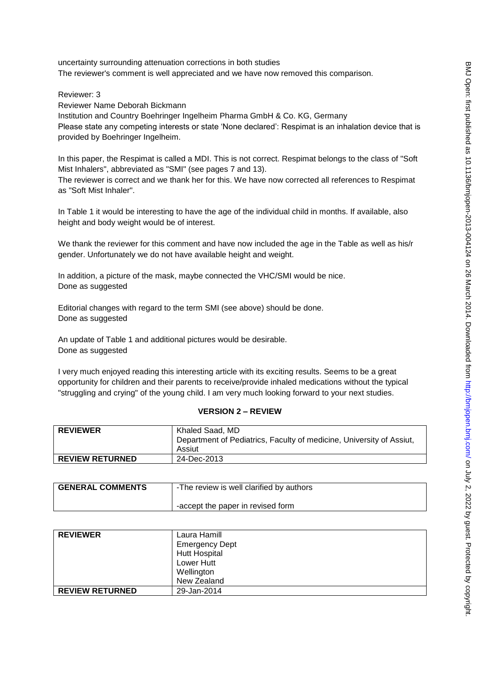uncertainty surrounding attenuation corrections in both studies The reviewer's comment is well appreciated and we have now removed this comparison.

Reviewer: 3

Reviewer Name Deborah Bickmann Institution and Country Boehringer Ingelheim Pharma GmbH & Co. KG, Germany Please state any competing interests or state 'None declared': Respimat is an inhalation device that is provided by Boehringer Ingelheim.

In this paper, the Respimat is called a MDI. This is not correct. Respimat belongs to the class of "Soft Mist Inhalers", abbreviated as "SMI" (see pages 7 and 13).

The reviewer is correct and we thank her for this. We have now corrected all references to Respimat as "Soft Mist Inhaler".

In Table 1 it would be interesting to have the age of the individual child in months. If available, also height and body weight would be of interest.

We thank the reviewer for this comment and have now included the age in the Table as well as his/r gender. Unfortunately we do not have available height and weight.

In addition, a picture of the mask, maybe connected the VHC/SMI would be nice. Done as suggested

Editorial changes with regard to the term SMI (see above) should be done. Done as suggested

An update of Table 1 and additional pictures would be desirable. Done as suggested

I very much enjoyed reading this interesting article with its exciting results. Seems to be a great opportunity for children and their parents to receive/provide inhaled medications without the typical "struggling and crying" of the young child. I am very much looking forward to your next studies.

### **VERSION 2 – REVIEW**

| <b>REVIEWER</b>        | Khaled Saad, MD<br>Department of Pediatrics, Faculty of medicine, University of Assiut,<br>Assiut |
|------------------------|---------------------------------------------------------------------------------------------------|
| <b>REVIEW RETURNED</b> | 24-Dec-2013                                                                                       |

| <b>GENERAL COMMENTS</b> | -The review is well clarified by authors |
|-------------------------|------------------------------------------|
|                         | -accept the paper in revised form        |

| <b>REVIEWER</b>        | Laura Hamill          |
|------------------------|-----------------------|
|                        | <b>Emergency Dept</b> |
|                        | <b>Hutt Hospital</b>  |
|                        | Lower Hutt            |
|                        | Wellington            |
|                        | New Zealand           |
| <b>REVIEW RETURNED</b> | 29-Jan-2014           |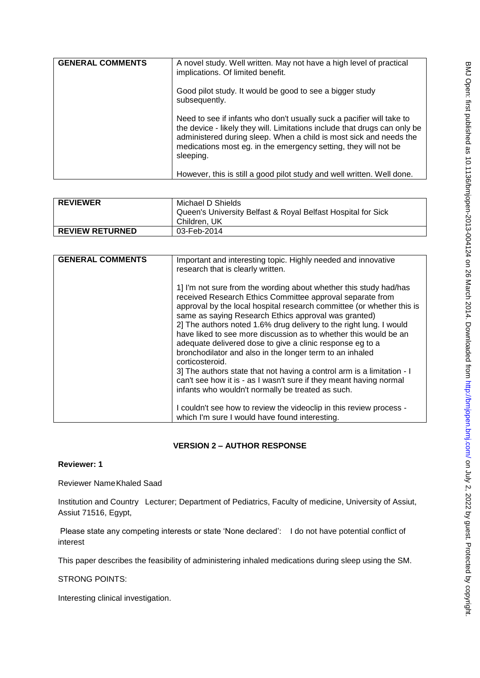| <b>GENERAL COMMENTS</b> | A novel study. Well written. May not have a high level of practical<br>implications. Of limited benefit.                                                                                                                                                                                                 |
|-------------------------|----------------------------------------------------------------------------------------------------------------------------------------------------------------------------------------------------------------------------------------------------------------------------------------------------------|
|                         | Good pilot study. It would be good to see a bigger study<br>subsequently.                                                                                                                                                                                                                                |
|                         | Need to see if infants who don't usually suck a pacifier will take to<br>the device - likely they will. Limitations include that drugs can only be<br>administered during sleep. When a child is most sick and needs the<br>medications most eg. in the emergency setting, they will not be<br>sleeping. |
|                         | However, this is still a good pilot study and well written. Well done.                                                                                                                                                                                                                                   |

| <b>REVIEWER</b>        | Michael D Shields<br>Queen's University Belfast & Royal Belfast Hospital for Sick<br>Children. UK |
|------------------------|---------------------------------------------------------------------------------------------------|
| <b>REVIEW RETURNED</b> | 03-Feb-2014                                                                                       |

| 1] I'm not sure from the wording about whether this study had/has<br>received Research Ethics Committee approval separate from<br>approval by the local hospital research committee (or whether this is<br>same as saying Research Ethics approval was granted)<br>2] The authors noted 1.6% drug delivery to the right lung. I would<br>have liked to see more discussion as to whether this would be an<br>adequate delivered dose to give a clinic response eg to a<br>bronchodilator and also in the longer term to an inhaled<br>corticosteroid.<br>3] The authors state that not having a control arm is a limitation - I<br>can't see how it is - as I wasn't sure if they meant having normal<br>infants who wouldn't normally be treated as such.<br>I couldn't see how to review the videoclip in this review process - | <b>GENERAL COMMENTS</b> | Important and interesting topic. Highly needed and innovative<br>research that is clearly written. |
|-----------------------------------------------------------------------------------------------------------------------------------------------------------------------------------------------------------------------------------------------------------------------------------------------------------------------------------------------------------------------------------------------------------------------------------------------------------------------------------------------------------------------------------------------------------------------------------------------------------------------------------------------------------------------------------------------------------------------------------------------------------------------------------------------------------------------------------|-------------------------|----------------------------------------------------------------------------------------------------|
|                                                                                                                                                                                                                                                                                                                                                                                                                                                                                                                                                                                                                                                                                                                                                                                                                                   |                         | which I'm sure I would have found interesting.                                                     |

## **VERSION 2 – AUTHOR RESPONSE**

## **Reviewer: 1**

Reviewer Name Khaled Saad

Institution and Country Lecturer; Department of Pediatrics, Faculty of medicine, University of Assiut, Assiut 71516, Egypt,

Please state any competing interests or state 'None declared': I do not have potential conflict of interest

This paper describes the feasibility of administering inhaled medications during sleep using the SM.

STRONG POINTS:

Interesting clinical investigation.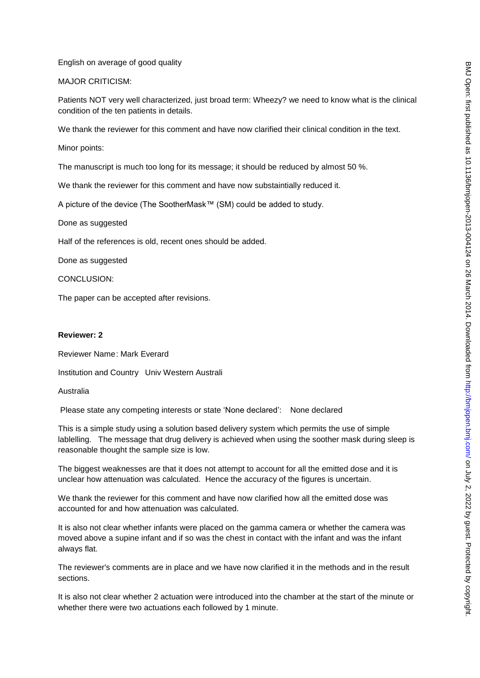English on average of good quality

MAJOR CRITICISM:

Patients NOT very well characterized, just broad term: Wheezy? we need to know what is the clinical condition of the ten patients in details.

We thank the reviewer for this comment and have now clarified their clinical condition in the text.

Minor points:

The manuscript is much too long for its message; it should be reduced by almost 50 %.

We thank the reviewer for this comment and have now substaintially reduced it.

A picture of the device (The SootherMask™ (SM) could be added to study.

Done as suggested

Half of the references is old, recent ones should be added.

Done as suggested

CONCLUSION:

The paper can be accepted after revisions.

#### **Reviewer: 2**

Reviewer Name : Mark Everard

Institution and Country Univ Western Australi

#### Australia

Please state any competing interests or state 'None declared': None declared

This is a simple study using a solution based delivery system which permits the use of simple lablelling. The message that drug delivery is achieved when using the soother mask during sleep is reasonable thought the sample size is low.

The biggest weaknesses are that it does not attempt to account for all the emitted dose and it is unclear how attenuation was calculated. Hence the accuracy of the figures is uncertain.

We thank the reviewer for this comment and have now clarified how all the emitted dose was accounted for and how attenuation was calculated.

It is also not clear whether infants were placed on the gamma camera or whether the camera was moved above a supine infant and if so was the chest in contact with the infant and was the infant always flat.

The reviewer's comments are in place and we have now clarified it in the methods and in the result sections.

It is also not clear whether 2 actuation were introduced into the chamber at the start of the minute or whether there were two actuations each followed by 1 minute.